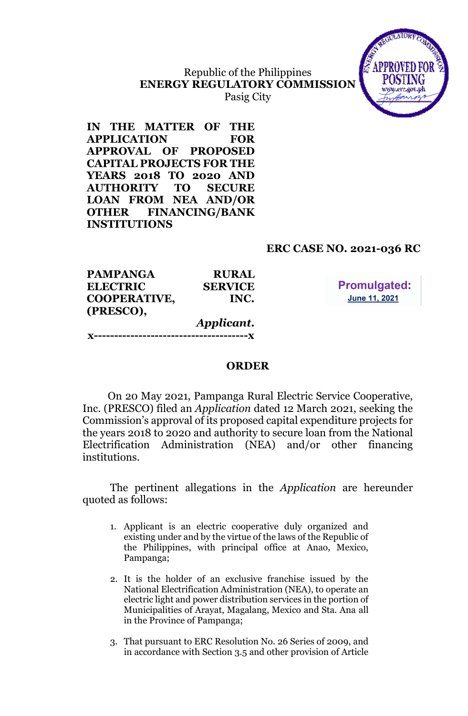# Republic of the Philippines **ENERGY REGULATORY COMMISSION**



Pasig City

**IN THE MATTER OF THE APPLICATION FOR APPROVAL OF PROPOSED CAPITAL PROJECTS FOR THE YEARS 2018 TO 2020 AND AUTHORITY TO SECURE LOAN FROM NEA AND/OR OTHER FINANCING/BANK INSTITUTIONS**

## **ERC CASE NO. 2021-036 RC**

| <b>PAMPANGA</b>     | <b>RURAL</b>           |
|---------------------|------------------------|
| <b>ELECTRIC</b>     | <b>SERVICE</b>         |
| <b>COOPERATIVE,</b> | INC.                   |
| (PRESCO),           |                        |
|                     | Applicant.             |
|                     | ---------------------- |

**Promulgated:** June 11, 2021

#### **ORDER**

On 20 May 2021, Pampanga Rural Electric Service Cooperative, Inc. (PRESCO) filed an *Application* dated 12 March 2021, seeking the Commission's approval of its proposed capital expenditure projects for the years 2018 to 2020 and authority to secure loan from the National Electrification Administration (NEA) and/or other financing institutions.

The pertinent allegations in the *Application* are hereunder quoted as follows:

- 1. Applicant is an electric cooperative duly organized and existing under and by the virtue of the laws of the Republic of the Philippines, with principal office at Anao, Mexico, Pampanga;
- 2. It is the holder of an exclusive franchise issued by the National Electrification Administration (NEA), to operate an electric light and power distribution services in the portion of Municipalities of Arayat, Magalang, Mexico and Sta. Ana all in the Province of Pampanga;
- 3. That pursuant to ERC Resolution No. 26 Series of 2009, and in accordance with Section 3.5 and other provision of Article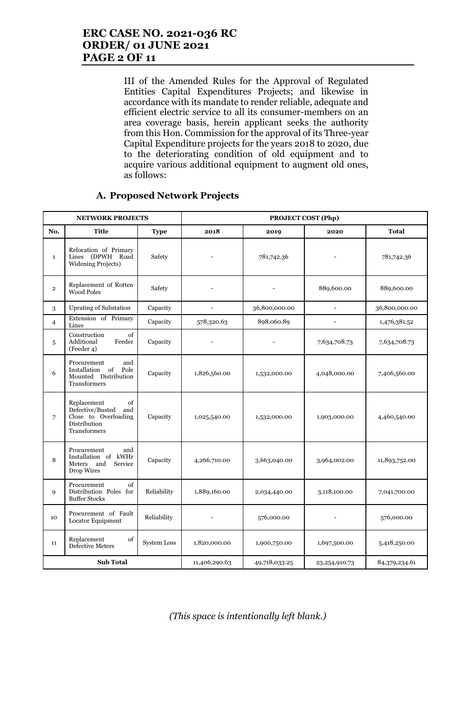## **ERC CASE NO. 2021-036 RC ORDER/ 01 JUNE 2021 PAGE 2 OF 11**

III of the Amended Rules for the Approval of Regulated Entities Capital Expenditures Projects; and likewise in accordance with its mandate to render reliable, adequate and efficient electric service to all its consumer-members on an area coverage basis, herein applicant seeks the authority from this Hon. Commission for the approval of its Three-year Capital Expenditure projects for the years 2018 to 2020, due to the deteriorating condition of old equipment and to acquire various additional equipment to augment old ones, as follows:

|                | <b>NETWORK PROJECTS</b>                                                                              |                    | PROJECT COST (Php)       |               |                          |               |  |
|----------------|------------------------------------------------------------------------------------------------------|--------------------|--------------------------|---------------|--------------------------|---------------|--|
| No.            | <b>Title</b>                                                                                         | <b>Type</b>        | 2018                     | 2019          | 2020                     | <b>Total</b>  |  |
| $\mathbf{1}$   | Relocation of Primary<br>Lines (DPWH Road<br><b>Widening Projects)</b>                               | Safety             |                          | 781,742.36    |                          | 781,742.36    |  |
| $\overline{2}$ | Replacement of Rotten<br>Wood Poles                                                                  | Safety             |                          |               | 889,600.00               | 889,600.00    |  |
| 3              | <b>Uprating of Substation</b>                                                                        | Capacity           | $\overline{\phantom{a}}$ | 36,800,000.00 | $\overline{\phantom{a}}$ | 36,800,000.00 |  |
| $\overline{4}$ | Extension of Primary<br>Lines                                                                        | Capacity           | 578,320.63               | 898,060.89    | $\overline{\phantom{a}}$ | 1,476,381.52  |  |
| 5              | of<br>Construction<br>Additional<br>Feeder<br>(Feeder 4)                                             | Capacity           |                          |               | 7,634,708.73             | 7,634,708.73  |  |
| 6              | Procurement<br>and<br>of<br>Installation<br>Pole<br>Mounted Distribution<br>Transformers             | Capacity           | 1,826,560.00             | 1,532,000.00  | 4,048,000.00             | 7,406,560.00  |  |
| 7              | Replacement<br>of<br>Defective/Busted<br>and<br>Close to Overloading<br>Distribution<br>Transformers | Capacity           | 1,025,540.00             | 1,532,000.00  | 1,903,000.00             | 4,460,540.00  |  |
| 8              | Procurement<br>and<br>Installation of kWHr<br>and<br>Service<br>Meters<br>Drop Wires                 | Capacity           | 4,266,710.00             | 3,663,040.00  | 3,964,002.00             | 11,893,752.00 |  |
| 9              | Procurement<br>of<br>Distribution Poles for<br><b>Buffer Stocks</b>                                  | Reliability        | 1,889,160.00             | 2,034,440.00  | 3,118,100.00             | 7,041,700.00  |  |
| 10             | Procurement of Fault<br>Locator Equipment                                                            | Reliability        |                          | 576,000.00    |                          | 576,000.00    |  |
| 11             | Replacement<br>of<br><b>Defective Meters</b>                                                         | <b>System Loss</b> | 1,820,000.00             | 1,900,750.00  | 1,697,500.00             | 5,418,250.00  |  |
|                | <b>Sub Total</b>                                                                                     |                    | 11,406,290.63            | 49,718,033.25 | 23, 254, 910. 73         | 84,379,234.61 |  |

#### **A. Proposed Network Projects**

*(This space is intentionally left blank.)*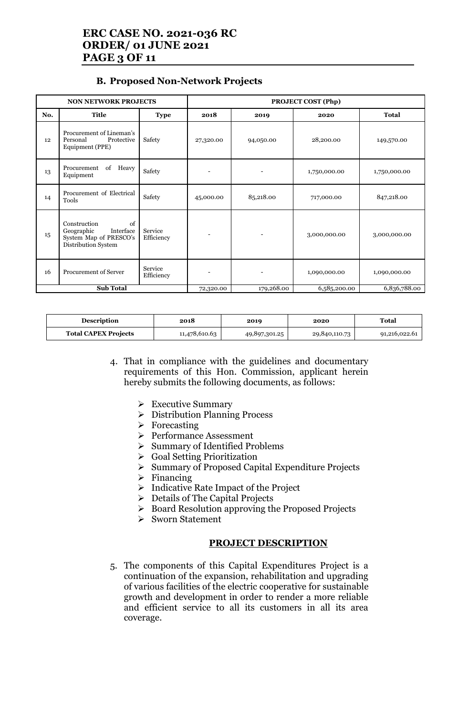# **ERC CASE NO. 2021-036 RC ORDER/ 01 JUNE 2021 PAGE 3 OF 11**

#### **B. Proposed Non-Network Projects**

| <b>NON NETWORK PROJECTS</b> |                                                                                                |                       | <b>PROJECT COST (Php)</b> |            |              |              |
|-----------------------------|------------------------------------------------------------------------------------------------|-----------------------|---------------------------|------------|--------------|--------------|
| No.                         | Title                                                                                          | <b>Type</b>           | 2018                      | 2019       | 2020         | <b>Total</b> |
| 12                          | Procurement of Lineman's<br>Personal<br>Protective<br>Equipment (PPE)                          | Safety                | 27,320.00                 | 94,050.00  | 28,200.00    | 149,570.00   |
| 13                          | of<br>Heavy<br>Procurement<br>Equipment                                                        | Safety                |                           |            | 1,750,000.00 | 1,750,000.00 |
| 14                          | Procurement of Electrical<br>Tools                                                             | Safety                | 45,000.00                 | 85,218.00  | 717,000.00   | 847,218.00   |
| 15                          | of<br>Construction<br>Geographic<br>Interface<br>System Map of PRESCO's<br>Distribution System | Service<br>Efficiency |                           |            | 3,000,000.00 | 3,000,000.00 |
| 16                          | <b>Procurement of Server</b>                                                                   | Service<br>Efficiency |                           |            | 1,090,000.00 | 1,090,000.00 |
|                             | <b>Sub Total</b>                                                                               |                       | 72,320.00                 | 179,268.00 | 6,585,200.00 | 6,836,788.00 |

| <b>Description</b>          | 2018          | 2019          | 2020          | Total         |
|-----------------------------|---------------|---------------|---------------|---------------|
| <b>Total CAPEX Projects</b> | 11,478,610.63 | 49,897,301.25 | 29,840,110.73 | 91,216,022.61 |

4. That in compliance with the guidelines and documentary requirements of this Hon. Commission, applicant herein hereby submits the following documents, as follows:

- ➢ Executive Summary
- ➢ Distribution Planning Process
- ➢ Forecasting
- ➢ Performance Assessment
- ➢ Summary of Identified Problems
- ➢ Goal Setting Prioritization
- ➢ Summary of Proposed Capital Expenditure Projects
- ➢ Financing
- ➢ Indicative Rate Impact of the Project
- $\triangleright$  Details of The Capital Projects
- ➢ Board Resolution approving the Proposed Projects
- ➢ Sworn Statement

#### **PROJECT DESCRIPTION**

5. The components of this Capital Expenditures Project is a continuation of the expansion, rehabilitation and upgrading of various facilities of the electric cooperative for sustainable growth and development in order to render a more reliable and efficient service to all its customers in all its area coverage.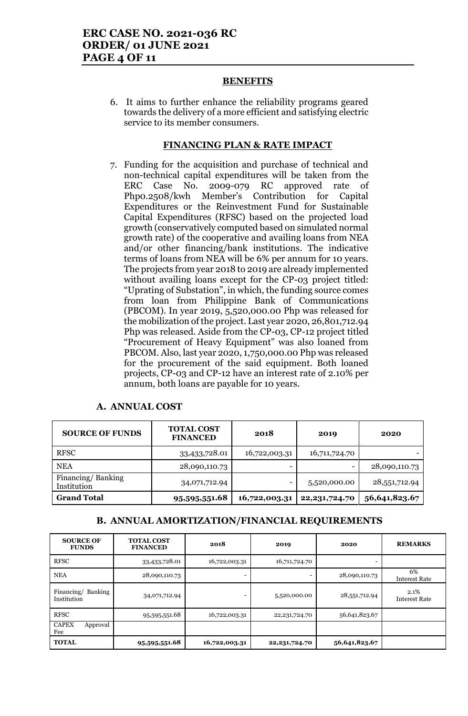#### **BENEFITS**

6. It aims to further enhance the reliability programs geared towards the delivery of a more efficient and satisfying electric service to its member consumers.

#### **FINANCING PLAN & RATE IMPACT**

7. Funding for the acquisition and purchase of technical and non-technical capital expenditures will be taken from the ERC Case No. 2009-079 RC approved rate of Php0.2508/kwh Member's Contribution for Capital Expenditures or the Reinvestment Fund for Sustainable Capital Expenditures (RFSC) based on the projected load growth (conservatively computed based on simulated normal growth rate) of the cooperative and availing loans from NEA and/or other financing/bank institutions. The indicative terms of loans from NEA will be 6% per annum for 10 years. The projects from year 2018 to 2019 are already implemented without availing loans except for the CP-03 project titled: "Uprating of Substation", in which, the funding source comes from loan from Philippine Bank of Communications (PBCOM). In year 2019, 5,520,000.00 Php was released for the mobilization of the project. Last year 2020, 26,801,712.94 Php was released. Aside from the CP-03, CP-12 project titled "Procurement of Heavy Equipment" was also loaned from PBCOM. Also, last year 2020, 1,750,000.00 Php was released for the procurement of the said equipment. Both loaned projects, CP-03 and CP-12 have an interest rate of 2.10% per annum, both loans are payable for 10 years.

| <b>SOURCE OF FUNDS</b>           | <b>TOTAL COST</b><br><b>FINANCED</b> | 2018          | 2019             | 2020          |
|----------------------------------|--------------------------------------|---------------|------------------|---------------|
| <b>RFSC</b>                      | 33,433,728.01                        | 16,722,003.31 | 16,711,724.70    |               |
| <b>NEA</b>                       | 28,090,110.73                        |               | -                | 28,090,110.73 |
| Financing/Banking<br>Institution | 34,071,712.94                        | -             | 5,520,000.00     | 28,551,712.94 |
| <b>Grand Total</b>               | 95,595,551.68                        | 16,722,003.31 | 22, 231, 724. 70 | 56,641,823.67 |

#### **A. ANNUAL COST**

#### **B. ANNUAL AMORTIZATION/FINANCIAL REQUIREMENTS**

| <b>SOURCE OF</b><br><b>FUNDS</b>     | <b>TOTAL COST</b><br><b>FINANCED</b> | 2018          | 2019             | 2020          | <b>REMARKS</b>               |
|--------------------------------------|--------------------------------------|---------------|------------------|---------------|------------------------------|
| <b>RFSC</b>                          | 33,433,728.01                        | 16,722,003.31 | 16,711,724.70    |               |                              |
| <b>NEA</b>                           | 28,090,110.73                        |               |                  | 28,090,110.73 | 6%<br><b>Interest Rate</b>   |
| Banking<br>Financing/<br>Institution | 34,071,712.94                        |               | 5,520,000.00     | 28,551,712.94 | 2.1%<br><b>Interest Rate</b> |
| <b>RFSC</b>                          | 95,595,551.68                        | 16,722,003.31 | 22, 231, 724. 70 | 56,641,823.67 |                              |
| <b>CAPEX</b><br>Approval<br>Fee      |                                      |               |                  |               |                              |
| <b>TOTAL</b>                         | 95,595,551.68                        | 16,722,003.31 | 22, 231, 724. 70 | 56,641,823.67 |                              |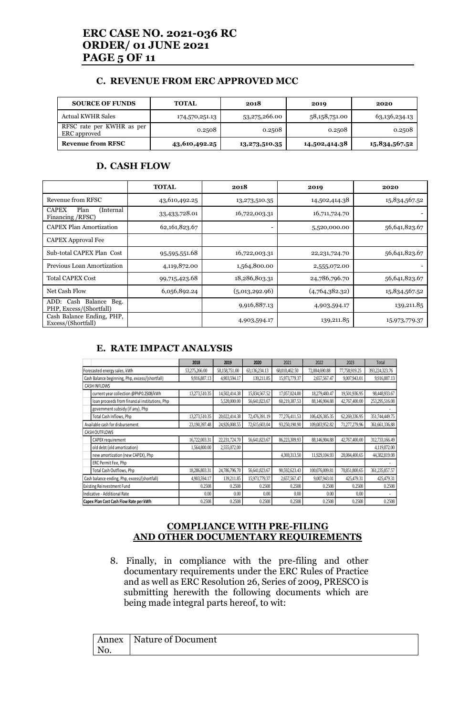# **ERC CASE NO. 2021-036 RC ORDER/ 01 JUNE 2021 PAGE 5 OF 11**

#### **C. REVENUE FROM ERC APPROVED MCC**

| <b>SOURCE OF FUNDS</b>                    | <b>TOTAL</b>   | 2018          | 2019          | 2020          |
|-------------------------------------------|----------------|---------------|---------------|---------------|
| <b>Actual KWHR Sales</b>                  | 174,570,251.13 | 53,275,266.00 | 58,158,751.00 | 63,136,234.13 |
| RFSC rate per KWHR as per<br>ERC approved | 0.2508         | 0.2508        | 0.2508        | 0.2508        |
| <b>Revenue from RFSC</b>                  | 43,610,492.25  | 13,273,510.35 | 14,502,414.38 | 15,834,567.52 |

#### **D. CASH FLOW**

|                                                        | <b>TOTAL</b>  | 2018           | 2019             | 2020          |
|--------------------------------------------------------|---------------|----------------|------------------|---------------|
| Revenue from RFSC                                      | 43,610,492.25 | 13,273,510.35  | 14,502,414.38    | 15,834,567.52 |
| <b>CAPEX</b><br>Plan<br>(Internal<br>Financing / RFSC) | 33,433,728.01 | 16,722,003.31  | 16,711,724.70    |               |
| <b>CAPEX Plan Amortization</b>                         | 62,161,823.67 |                | 5,520,000.00     | 56,641,823.67 |
| <b>CAPEX Approval Fee</b>                              |               |                |                  |               |
| Sub-total CAPEX Plan Cost                              | 95,595,551.68 | 16,722,003.31  | 22, 231, 724. 70 | 56,641,823.67 |
| Previous Loan Amortization                             | 4,119,872.00  | 1,564,800.00   | 2,555,072.00     |               |
| <b>Total CAPEX Cost</b>                                | 99,715,423.68 | 18,286,803.31  | 24,786,796.70    | 56,641,823.67 |
| Net Cash Flow                                          | 6,056,892.24  | (5,013,292.96) | (4,764,382,32)   | 15,834,567.52 |
| ADD: Cash Balance Beg.<br>PHP, Excess/(Shortfall)      |               | 9,916,887.13   | 4,903,594.17     | 139,211.85    |
| Cash Balance Ending, PHP,<br>Excess/(Shortfall)        |               | 4,903,594.17   | 139,211.85       | 15,973,779.37 |

#### **E. RATE IMPACT ANALYSIS**

|                                 |                                                 | 2018          | 2019          | 2020          | 2021          | 2022           | 2023          | Total          |
|---------------------------------|-------------------------------------------------|---------------|---------------|---------------|---------------|----------------|---------------|----------------|
|                                 | Forecasted energy sales, kWh                    | 53,275,266.00 | 58,158,751.00 | 63,136,234.13 | 68,010,462.50 | 72,884,690.88  | 77,758,919.25 | 393,224,323.76 |
|                                 | Cash Balance beginning, Php, excess/(shortfall) | 9.916.887.13  | 4,903,594.17  | 139.211.85    | 15,973,779.37 | 2,657,567.47   | 9,007,943.01  | 9,916,887.13   |
|                                 | <b>CASH INFLOWS</b>                             |               |               |               |               |                |               |                |
|                                 | current year collection @PhP0.2508/kWh          | 13,273,510.35 | 14.502.414.38 | 15,834,567.52 | 17,057,024.00 | 18,279,480.47  | 19,501,936.95 | 98,448,933.67  |
|                                 | loan proceeds from financial institutions, Php  |               | 5,520,000.00  | 56,641,823.67 | 60,219,387.53 | 88,146,904.88  | 42,767,400.00 | 253,295,516.08 |
|                                 | government subsidy (if any), Php                |               |               |               |               |                |               |                |
|                                 | Total Cash Inflows, Php                         | 13.273.510.35 | 20.022.414.38 | 72,476,391.19 | 77,276,411.53 | 106,426,385.35 | 62,269,336.95 | 351,744,449.75 |
| Available cash for disbursement |                                                 | 23,190,397.48 | 24,926,008.55 | 72,615,603.04 | 93,250,190.90 | 109,083,952.82 | 71,277,279.96 | 361,661,336.88 |
|                                 | <b>CASH OUTFLOWS</b>                            |               |               |               |               |                |               |                |
|                                 | CAPEX requirement                               | 16,722,003.31 | 22.231.724.70 | 56,641,823.67 | 86,223,309.93 | 88,146,904.88  | 42,767,400.00 | 312,733,166.49 |
|                                 | old debt (old amortization)                     | 1,564,800.00  | 2,555,072.00  |               |               |                |               | 4,119,872.00   |
|                                 | new amortization (new CAPEX), Php               |               |               |               | 4,369,313.50  | 11.929.104.93  | 28,084,400.65 | 44,382,819.08  |
|                                 | ERC Permit Fee, Php                             |               |               |               |               |                |               |                |
|                                 | Total Cash Outflows, Php                        | 18,286,803.31 | 24,786,796.70 | 56,641,823.67 | 90,592,623.43 | 100,076,009.81 | 70,851,800.65 | 361,235,857.57 |
|                                 | Cash balance ending, Php, excess/(shortfall)    | 4,903,594.17  | 139.211.85    | 15,973,779.37 | 2,657,567.47  | 9,007,943.01   | 425,479.31    | 425,479.31     |
|                                 | 0.2508<br><b>Existing Reinvestment Fund</b>     |               | 0.2508        | 0.2508        | 0.2508        | 0.2508         | 0.2508        | 0.2508         |
|                                 | Indicative - Additional Rate                    | 0.00          | 0.00          | 0.00          | 0.00          | 0.00           | 0.00          |                |
|                                 | Capex Plan Cost Cash Flow Rate per kWh          | 0.2508        | 0.2508        | 0.2508        | 0.2508        | 0.2508         | 0.2508        | 0.2508         |

#### **COMPLIANCE WITH PRE-FILING AND OTHER DOCUMENTARY REQUIREMENTS**

8. Finally, in compliance with the pre-filing and other documentary requirements under the ERC Rules of Practice and as well as ERC Resolution 26, Series of 2009, PRESCO is submitting herewith the following documents which are being made integral parts hereof, to wit:

|     | Annex   Nature of Document |
|-----|----------------------------|
| No. |                            |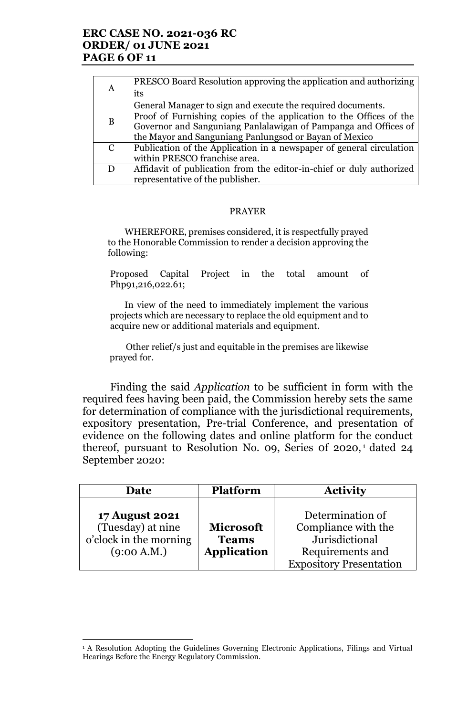## **ERC CASE NO. 2021-036 RC ORDER/ 01 JUNE 2021 PAGE 6 OF 11**

|               | PRESCO Board Resolution approving the application and authorizing    |
|---------------|----------------------------------------------------------------------|
| A             | its                                                                  |
|               | General Manager to sign and execute the required documents.          |
|               | Proof of Furnishing copies of the application to the Offices of the  |
| B             | Governor and Sanguniang Panlalawigan of Pampanga and Offices of      |
|               | the Mayor and Sanguniang Panlungsod or Bayan of Mexico               |
| $\mathcal{C}$ | Publication of the Application in a newspaper of general circulation |
|               | within PRESCO franchise area.                                        |
| D             | Affidavit of publication from the editor-in-chief or duly authorized |
|               | representative of the publisher.                                     |

#### PRAYER

WHEREFORE, premises considered, it is respectfully prayed to the Honorable Commission to render a decision approving the following:

Proposed Capital Project in the total amount of Php91,216,022.61;

In view of the need to immediately implement the various projects which are necessary to replace the old equipment and to acquire new or additional materials and equipment.

Other relief/s just and equitable in the premises are likewise prayed for.

Finding the said *Application* to be sufficient in form with the required fees having been paid, the Commission hereby sets the same for determination of compliance with the jurisdictional requirements, expository presentation, Pre-trial Conference, and presentation of evidence on the following dates and online platform for the conduct thereof, pursuant to Resolution No. 09, Series of 2020,<sup>1</sup> dated 24 September 2020:

| Date                                                                                | <b>Platform</b>                                        | <b>Activity</b>                                                                                                 |
|-------------------------------------------------------------------------------------|--------------------------------------------------------|-----------------------------------------------------------------------------------------------------------------|
| <b>17 August 2021</b><br>(Tuesday) at nine<br>o'clock in the morning<br>(9:00 A.M.) | <b>Microsoft</b><br><b>Teams</b><br><b>Application</b> | Determination of<br>Compliance with the<br>Jurisdictional<br>Requirements and<br><b>Expository Presentation</b> |

<sup>&</sup>lt;sup>1</sup> A Resolution Adopting the Guidelines Governing Electronic Applications, Filings and Virtual Hearings Before the Energy Regulatory Commission.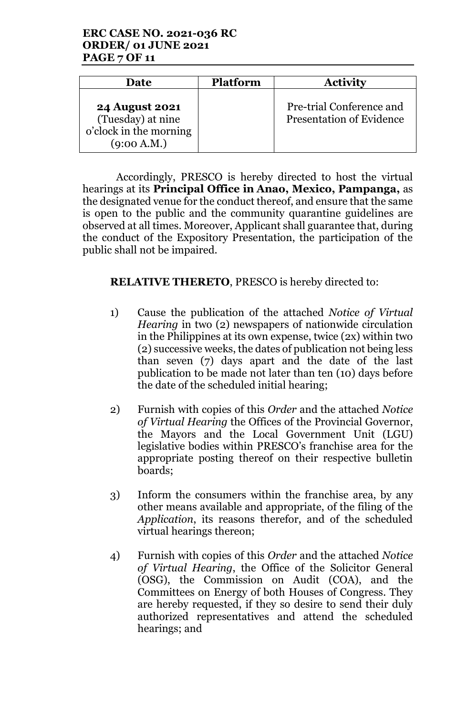# **ERC CASE NO. 2021-036 RC ORDER/ 01 JUNE 2021 PAGE 7 OF 11**

| Date                                                                                | <b>Platform</b> | <b>Activity</b>                                             |
|-------------------------------------------------------------------------------------|-----------------|-------------------------------------------------------------|
| <b>24 August 2021</b><br>(Tuesday) at nine<br>o'clock in the morning<br>(9:00 A.M.) |                 | Pre-trial Conference and<br><b>Presentation of Evidence</b> |

Accordingly, PRESCO is hereby directed to host the virtual hearings at its **Principal Office in Anao, Mexico, Pampanga,** as the designated venue for the conduct thereof, and ensure that the same is open to the public and the community quarantine guidelines are observed at all times. Moreover, Applicant shall guarantee that, during the conduct of the Expository Presentation, the participation of the public shall not be impaired.

# **RELATIVE THERETO**, PRESCO is hereby directed to:

- 1) Cause the publication of the attached *Notice of Virtual Hearing* in two (2) newspapers of nationwide circulation in the Philippines at its own expense, twice (2x) within two (2) successive weeks, the dates of publication not being less than seven (7) days apart and the date of the last publication to be made not later than ten (10) days before the date of the scheduled initial hearing;
- 2) Furnish with copies of this *Order* and the attached *Notice of Virtual Hearing* the Offices of the Provincial Governor, the Mayors and the Local Government Unit (LGU) legislative bodies within PRESCO's franchise area for the appropriate posting thereof on their respective bulletin boards;
- 3) Inform the consumers within the franchise area, by any other means available and appropriate, of the filing of the *Application*, its reasons therefor, and of the scheduled virtual hearings thereon;
- 4) Furnish with copies of this *Order* and the attached *Notice of Virtual Hearing*, the Office of the Solicitor General (OSG), the Commission on Audit (COA), and the Committees on Energy of both Houses of Congress. They are hereby requested, if they so desire to send their duly authorized representatives and attend the scheduled hearings; and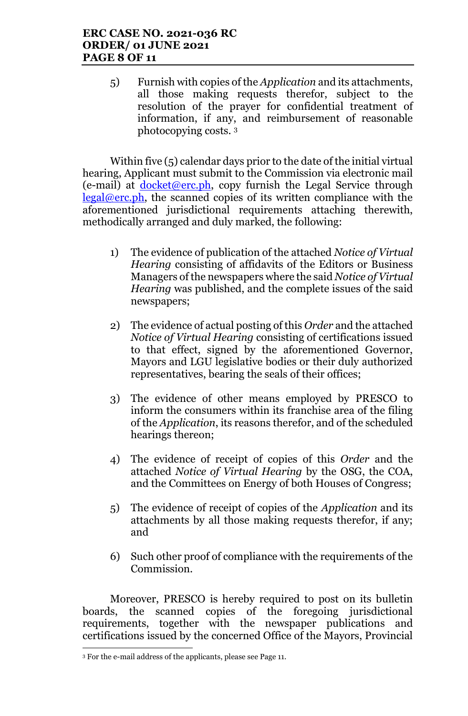5) Furnish with copies of the *Application* and its attachments, all those making requests therefor, subject to the resolution of the prayer for confidential treatment of information, if any, and reimbursement of reasonable photocopying costs. <sup>3</sup>

Within five (5) calendar days prior to the date of the initial virtual hearing, Applicant must submit to the Commission via electronic mail  $(e-mail)$  at docket@erc.ph, copy furnish the Legal Service through legal@erc.ph, the scanned copies of its written compliance with the aforementioned jurisdictional requirements attaching therewith, methodically arranged and duly marked, the following:

- 1) The evidence of publication of the attached *Notice of Virtual Hearing* consisting of affidavits of the Editors or Business Managers of the newspapers where the said *Notice of Virtual Hearing* was published, and the complete issues of the said newspapers;
- 2) The evidence of actual posting of this *Order* and the attached *Notice of Virtual Hearing* consisting of certifications issued to that effect, signed by the aforementioned Governor, Mayors and LGU legislative bodies or their duly authorized representatives, bearing the seals of their offices;
- 3) The evidence of other means employed by PRESCO to inform the consumers within its franchise area of the filing of the *Application*, its reasons therefor, and of the scheduled hearings thereon;
- 4) The evidence of receipt of copies of this *Order* and the attached *Notice of Virtual Hearing* by the OSG, the COA, and the Committees on Energy of both Houses of Congress;
- 5) The evidence of receipt of copies of the *Application* and its attachments by all those making requests therefor, if any; and
- 6) Such other proof of compliance with the requirements of the Commission.

Moreover, PRESCO is hereby required to post on its bulletin boards, the scanned copies of the foregoing jurisdictional requirements, together with the newspaper publications and certifications issued by the concerned Office of the Mayors, Provincial

<sup>3</sup> For the e-mail address of the applicants, please see Page 11.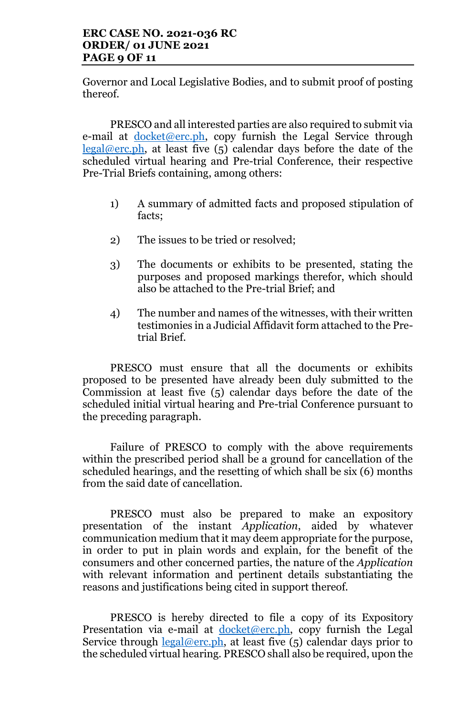## **ERC CASE NO. 2021-036 RC ORDER/ 01 JUNE 2021 PAGE 9 OF 11**

Governor and Local Legislative Bodies, and to submit proof of posting thereof.

PRESCO and all interested parties are also required to submit via e-mail at <u>docket@erc.ph</u>, copy furnish the Legal Service through  $legal@erc.ph$ , at least five  $(5)$  calendar days before the date of the scheduled virtual hearing and Pre-trial Conference, their respective Pre-Trial Briefs containing, among others:

- 1) A summary of admitted facts and proposed stipulation of facts;
- 2) The issues to be tried or resolved;
- 3) The documents or exhibits to be presented, stating the purposes and proposed markings therefor, which should also be attached to the Pre-trial Brief; and
- 4) The number and names of the witnesses, with their written testimonies in a Judicial Affidavit form attached to the Pretrial Brief.

PRESCO must ensure that all the documents or exhibits proposed to be presented have already been duly submitted to the Commission at least five (5) calendar days before the date of the scheduled initial virtual hearing and Pre-trial Conference pursuant to the preceding paragraph.

Failure of PRESCO to comply with the above requirements within the prescribed period shall be a ground for cancellation of the scheduled hearings, and the resetting of which shall be six (6) months from the said date of cancellation.

PRESCO must also be prepared to make an expository presentation of the instant *Application*, aided by whatever communication medium that it may deem appropriate for the purpose, in order to put in plain words and explain, for the benefit of the consumers and other concerned parties, the nature of the *Application* with relevant information and pertinent details substantiating the reasons and justifications being cited in support thereof.

PRESCO is hereby directed to file a copy of its Expository Presentation via e-mail at docket@erc.ph, copy furnish the Legal Service through  $\frac{\text{legal@erc.ph}}{\text{leaf@erc.ph}}$ , at least five (5) calendar days prior to the scheduled virtual hearing. PRESCO shall also be required, upon the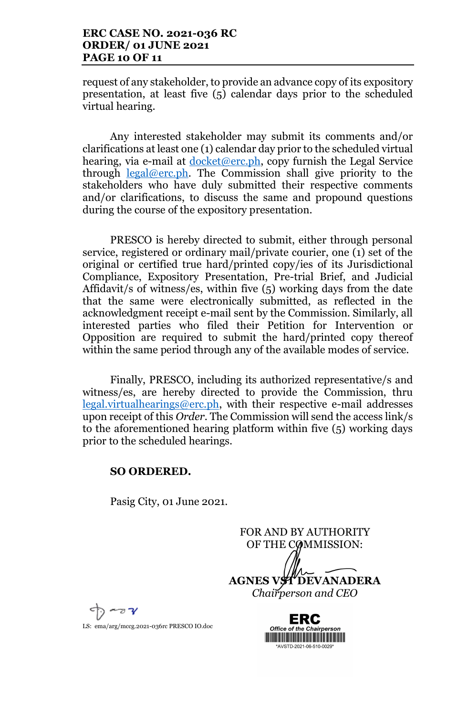### **ERC CASE NO. 2021-036 RC ORDER/ 01 JUNE 2021 PAGE 10 OF 11**

request of any stakeholder, to provide an advance copy of its expository presentation, at least five (5) calendar days prior to the scheduled virtual hearing.

Any interested stakeholder may submit its comments and/or clarifications at least one (1) calendar day prior to the scheduled virtual hearing, via e-mail at  $d$ ocket@erc.ph, copy furnish the Legal Service through legal@erc.ph. The Commission shall give priority to the stakeholders who have duly submitted their respective comments and/or clarifications, to discuss the same and propound questions during the course of the expository presentation.

PRESCO is hereby directed to submit, either through personal service, registered or ordinary mail/private courier, one (1) set of the original or certified true hard/printed copy/ies of its Jurisdictional Compliance, Expository Presentation, Pre-trial Brief, and Judicial Affidavit/s of witness/es, within five (5) working days from the date that the same were electronically submitted, as reflected in the acknowledgment receipt e-mail sent by the Commission. Similarly, all interested parties who filed their Petition for Intervention or Opposition are required to submit the hard/printed copy thereof within the same period through any of the available modes of service.

Finally, PRESCO, including its authorized representative/s and witness/es, are hereby directed to provide the Commission, thru legal.virtualhearings@erc.ph, with their respective e-mail addresses upon receipt of this *Order*. The Commission will send the access link/s to the aforementioned hearing platform within five (5) working days prior to the scheduled hearings.

#### **SO ORDERED.**

Pasig City, 01 June 2021.

FOR AND BY AUTHORITY OF THE COMMISSION: **AGNES VST DEVANADERA** *Chairperson and CEO*



LS: ema/arg/mccg.2021-036rc PRESCO IO.doc